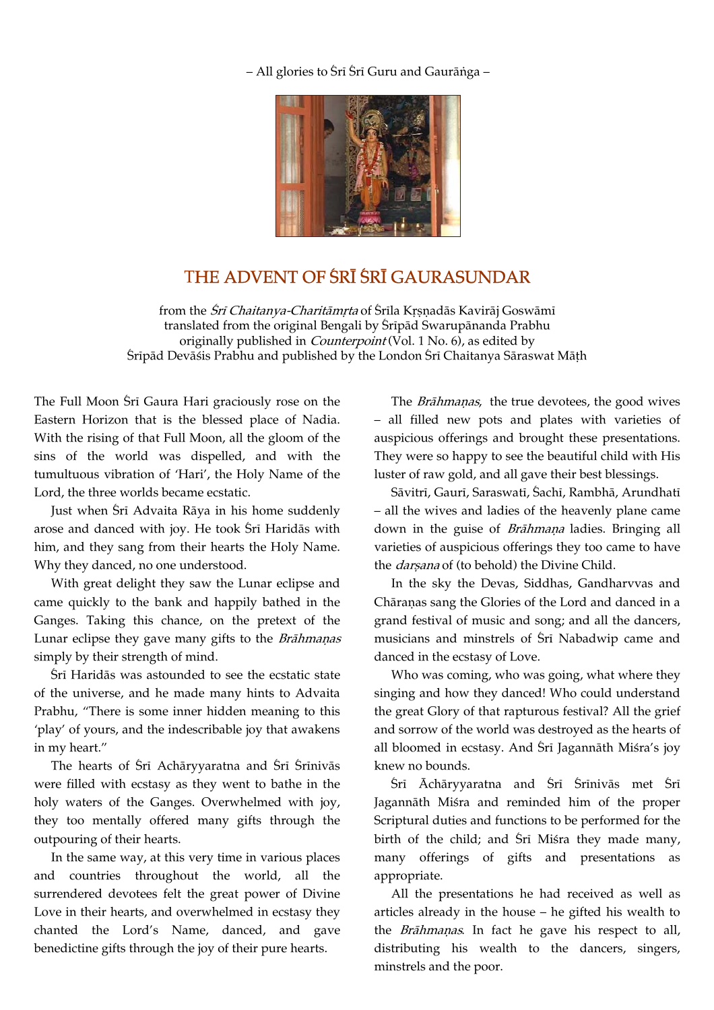– All glories to Śrī Śrī Guru and Gaurānga –



## THE ADVENT OF SRĪ SRĪ GAURASUNDAR

from the *Śrī Chaitanya-Charitāmṛta* of Śrīla Kṛṣṇadās Kavirāj Goswāmī translated from the original Bengali by Sripād Swarupānanda Prabhu originally published in *Counterpoint* (Vol. 1 No. 6), as edited by Śrīpād Devāśis Prabhu and published by the London Śrī Chaitanya Sāraswat Māțh

The Full Moon Sri Gaura Hari graciously rose on the Eastern Horizon that is the blessed place of Nadia. With the rising of that Full Moon, all the gloom of the sins of the world was dispelled, and with the tumultuous vibration of 'Hari', the Holy Name of the Lord, the three worlds became ecstatic.

Just when Sri Advaita Rāya in his home suddenly arose and danced with joy. He took Srī Haridās with him, and they sang from their hearts the Holy Name. Why they danced, no one understood.

With great delight they saw the Lunar eclipse and came quickly to the bank and happily bathed in the Ganges. Taking this chance, on the pretext of the Lunar eclipse they gave many gifts to the Brāhmaņas simply by their strength of mind.

Śrī Haridās was astounded to see the ecstatic state of the universe, and he made many hints to Advaita Prabhu, "There is some inner hidden meaning to this 'play' of yours, and the indescribable joy that awakens in my heart."

The hearts of Srī Achāryyaratna and Srī Srīnivās were filled with ecstasy as they went to bathe in the holy waters of the Ganges. Overwhelmed with joy, they too mentally offered many gifts through the outpouring of their hearts.

In the same way, at this very time in various places and countries throughout the world, all the surrendered devotees felt the great power of Divine Love in their hearts, and overwhelmed in ecstasy they chanted the Lord's Name, danced, and gave benedictine gifts through the joy of their pure hearts.

The Brāhmaṇas, the true devotees, the good wives – all filled new pots and plates with varieties of auspicious offerings and brought these presentations. They were so happy to see the beautiful child with His luster of raw gold, and all gave their best blessings.

Sāvitrī, Gaurī, Saraswatī, Sachī, Rambhā, Arundhatī – all the wives and ladies of the heavenly plane came down in the guise of Brāhmaņa ladies. Bringing all varieties of auspicious offerings they too came to have the *darsana* of (to behold) the Divine Child.

In the sky the Devas, Siddhas, Gandharvvas and Chāraṇas sang the Glories of the Lord and danced in a grand festival of music and song; and all the dancers, musicians and minstrels of Srī Nabadwip came and danced in the ecstasy of Love.

Who was coming, who was going, what where they singing and how they danced! Who could understand the great Glory of that rapturous festival? All the grief and sorrow of the world was destroyed as the hearts of all bloomed in ecstasy. And Śrī Jagannāth Miśra's joy knew no bounds.

 $\overline{\text{Sri}}$  Āchāryyaratna and  $\overline{\text{Sri}}$  Srīnivās met Srī Jagannāth Miśra and reminded him of the proper Scriptural duties and functions to be performed for the birth of the child; and Sri Misra they made many, many offerings of gifts and presentations as appropriate.

All the presentations he had received as well as articles already in the house – he gifted his wealth to the *Brāhmaṇas*. In fact he gave his respect to all, distributing his wealth to the dancers, singers, minstrels and the poor.